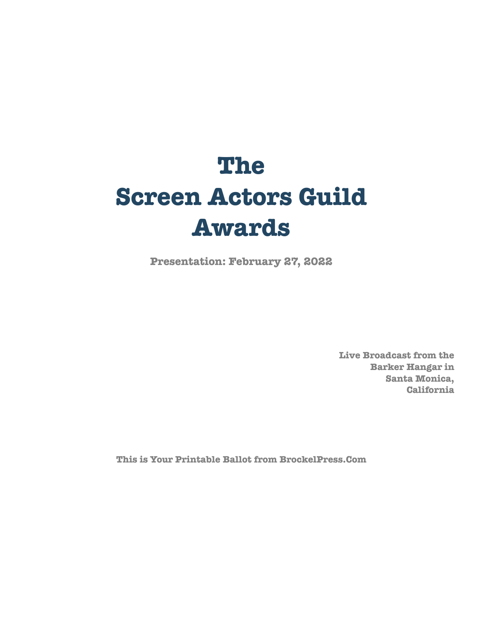# **The Screen Actors Guild Awards**

**Presentation: February 27, 2022**

**Live Broadcast from the Barker Hangar in Santa Monica, California**

**This is Your Printable Ballot from BrockelPress.Com**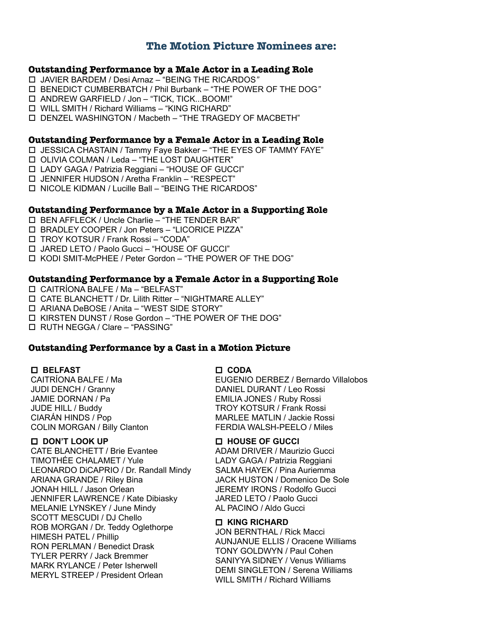# **The Motion Picture Nominees are:**

#### **Outstanding Performance by a Male Actor in a Leading Role**

- JAVIER BARDEM / Desi Arnaz "BEING THE RICARDOS*"*
- BENEDICT CUMBERBATCH / Phil Burbank "THE POWER OF THE DOG*"*
- ANDREW GARFIELD / Jon "TICK, TICK...BOOM!"
- WILL SMITH / Richard Williams "KING RICHARD"
- DENZEL WASHINGTON / Macbeth "THE TRAGEDY OF MACBETH"

#### **Outstanding Performance by a Female Actor in a Leading Role**

- JESSICA CHASTAIN / Tammy Faye Bakker "THE EYES OF TAMMY FAYE"
- OLIVIA COLMAN / Leda "THE LOST DAUGHTER"
- LADY GAGA / Patrizia Reggiani "HOUSE OF GUCCI"
- JENNIFER HUDSON / Aretha Franklin "RESPECT"
- NICOLE KIDMAN / Lucille Ball "BEING THE RICARDOS"

#### **Outstanding Performance by a Male Actor in a Supporting Role**

- BEN AFFLECK / Uncle Charlie "THE TENDER BAR"
- BRADLEY COOPER / Jon Peters "LICORICE PIZZA"
- TROY KOTSUR / Frank Rossi "CODA"
- JARED LETO / Paolo Gucci "HOUSE OF GUCCI"
- KODI SMIT-McPHEE / Peter Gordon "THE POWER OF THE DOG"

#### **Outstanding Performance by a Female Actor in a Supporting Role**

- CAITRÍONA BALFE / Ma "BELFAST"
- CATE BLANCHETT / Dr. Lilith Ritter "NIGHTMARE ALLEY"
- ARIANA DeBOSE / Anita "WEST SIDE STORY"
- KIRSTEN DUNST / Rose Gordon "THE POWER OF THE DOG"
- RUTH NEGGA / Clare "PASSING"

#### **Outstanding Performance by a Cast in a Motion Picture**

#### **BELFAST**

CAITRÍONA BALFE / Ma JUDI DENCH / Granny JAMIE DORNAN / Pa JUDE HILL / Buddy CIARÁN HINDS / Pop COLIN MORGAN / Billy Clanton

#### **DON'T LOOK UP**

CATE BLANCHETT / Brie Evantee TIMOTHÉE CHALAMET / Yule LEONARDO DiCAPRIO / Dr. Randall Mindy ARIANA GRANDE / Riley Bina JONAH HILL / Jason Orlean JENNIFER LAWRENCE / Kate Dibiasky MELANIE LYNSKEY / June Mindy SCOTT MESCUDI / DJ Chello ROB MORGAN / Dr. Teddy Oglethorpe HIMESH PATEL / Phillip RON PERLMAN / Benedict Drask TYLER PERRY / Jack Bremmer MARK RYLANCE / Peter Isherwell MERYL STREEP / President Orlean

#### **CODA**

EUGENIO DERBEZ / Bernardo Villalobos DANIEL DURANT / Leo Rossi EMILIA JONES / Ruby Rossi TROY KOTSUR / Frank Rossi MARLEE MATLIN / Jackie Rossi FERDIA WALSH-PEELO / Miles

#### **HOUSE OF GUCCI**

ADAM DRIVER / Maurizio Gucci LADY GAGA / Patrizia Reggiani SALMA HAYEK / Pina Auriemma JACK HUSTON / Domenico De Sole JEREMY IRONS / Rodolfo Gucci JARED LETO / Paolo Gucci AL PACINO / Aldo Gucci

#### **KING RICHARD**

JON BERNTHAL / Rick Macci AUNJANUE ELLIS / Oracene Williams TONY GOLDWYN / Paul Cohen SANIYYA SIDNEY / Venus Williams DEMI SINGLETON / Serena Williams WILL SMITH / Richard Williams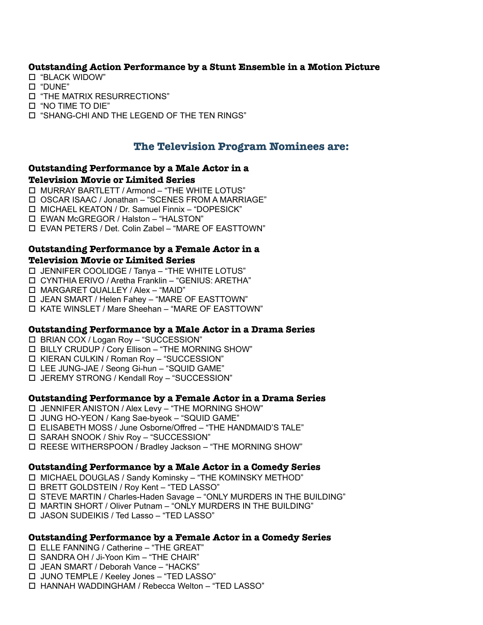# **Outstanding Action Performance by a Stunt Ensemble in a Motion Picture**

- "BLACK WIDOW"
- "DUNE"
- "THE MATRIX RESURRECTIONS"
- "NO TIME TO DIE"
- "SHANG-CHI AND THE LEGEND OF THE TEN RINGS"

# **The Television Program Nominees are:**

# **Outstanding Performance by a Male Actor in a**

#### **Television Movie or Limited Series**

- MURRAY BARTLETT / Armond "THE WHITE LOTUS"
- OSCAR ISAAC / Jonathan "SCENES FROM A MARRIAGE"
- MICHAEL KEATON / Dr. Samuel Finnix "DOPESICK"
- EWAN McGREGOR / Halston "HALSTON"
- EVAN PETERS / Det. Colin Zabel "MARE OF EASTTOWN"

# **Outstanding Performance by a Female Actor in a**

# **Television Movie or Limited Series**

- JENNIFER COOLIDGE / Tanya "THE WHITE LOTUS"
- CYNTHIA ERIVO / Aretha Franklin "GENIUS: ARETHA"
- MARGARET QUALLEY / Alex "MAID"
- JEAN SMART / Helen Fahey "MARE OF EASTTOWN"
- KATE WINSLET / Mare Sheehan "MARE OF EASTTOWN"

## **Outstanding Performance by a Male Actor in a Drama Series**

- BRIAN COX / Logan Roy "SUCCESSION"
- $\Box$  BILLY CRUDUP  $\overline{I}$  Cory Ellison "THE MORNING SHOW"
- KIERAN CULKIN / Roman Roy "SUCCESSION"
- LEE JUNG-JAE / Seong Gi-hun "SQUID GAME"
- JEREMY STRONG / Kendall Roy "SUCCESSION"

## **Outstanding Performance by a Female Actor in a Drama Series**

- JENNIFER ANISTON / Alex Levy "THE MORNING SHOW"
- JUNG HO-YEON / Kang Sae-byeok "SQUID GAME"
- ELISABETH MOSS / June Osborne/Offred "THE HANDMAID'S TALE"
- SARAH SNOOK / Shiv Roy "SUCCESSION"
- REESE WITHERSPOON / Bradley Jackson "THE MORNING SHOW"

## **Outstanding Performance by a Male Actor in a Comedy Series**

- MICHAEL DOUGLAS / Sandy Kominsky "THE KOMINSKY METHOD"
- BRETT GOLDSTEIN / Roy Kent "TED LASSO"
- STEVE MARTIN / Charles-Haden Savage "ONLY MURDERS IN THE BUILDING"
- MARTIN SHORT / Oliver Putnam "ONLY MURDERS IN THE BUILDING"
- JASON SUDEIKIS / Ted Lasso "TED LASSO"

# **Outstanding Performance by a Female Actor in a Comedy Series**

- ELLE FANNING / Catherine "THE GREAT"
- SANDRA OH / Ji-Yoon Kim "THE CHAIR"
- JEAN SMART / Deborah Vance "HACKS"
- JUNO TEMPLE / Keeley Jones "TED LASSO"
- HANNAH WADDINGHAM / Rebecca Welton "TED LASSO"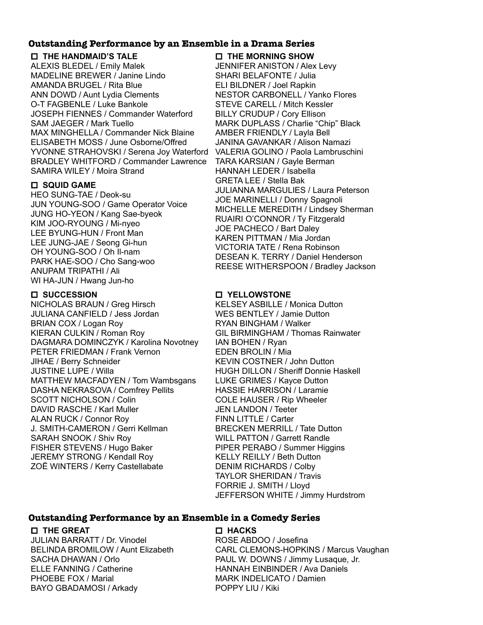## **Outstanding Performance by an Ensemble in a Drama Series**

#### **THE HANDMAID'S TALE**

ALEXIS BLEDEL / Emily Malek MADELINE BREWER / Janine Lindo AMANDA BRUGEL / Rita Blue ANN DOWD / Aunt Lydia Clements O-T FAGBENLE / Luke Bankole JOSEPH FIENNES / Commander Waterford SAM JAEGER / Mark Tuello MAX MINGHELLA / Commander Nick Blaine ELISABETH MOSS / June Osborne/Offred YVONNE STRAHOVSKI / Serena Joy Waterford BRADLEY WHITFORD / Commander Lawrence SAMIRA WILEY / Moira Strand

## **SQUID GAME**

HEO SUNG-TAE / Deok-su JUN YOUNG-SOO / Game Operator Voice JUNG HO-YEON / Kang Sae-byeok KIM JOO-RYOUNG / Mi-nyeo LEE BYUNG-HUN / Front Man LEE JUNG-JAE / Seong Gi-hun OH YOUNG-SOO / Oh Il-nam PARK HAE-SOO / Cho Sang-woo ANUPAM TRIPATHI / Ali WI HA-JUN / Hwang Jun-ho

## **SUCCESSION**

NICHOLAS BRAUN / Greg Hirsch JULIANA CANFIELD / Jess Jordan BRIAN COX / Logan Roy KIERAN CULKIN / Roman Roy DAGMARA DOMINCZYK / Karolina Novotney PETER FRIEDMAN / Frank Vernon JIHAE / Berry Schneider JUSTINE LUPE / Willa MATTHEW MACFADYEN / Tom Wambsgans DASHA NEKRASOVA / Comfrey Pellits SCOTT NICHOLSON / Colin DAVID RASCHE / Karl Muller ALAN RUCK / Connor Roy J. SMITH-CAMERON / Gerri Kellman SARAH SNOOK / Shiv Roy FISHER STEVENS / Hugo Baker JEREMY STRONG / Kendall Roy ZOË WINTERS / Kerry Castellabate

# **THE MORNING SHOW**

JENNIFER ANISTON / Alex Levy SHARI BELAFONTE / Julia ELI BILDNER / Joel Rapkin NESTOR CARBONELL / Yanko Flores STEVE CARELL / Mitch Kessler BILLY CRUDUP / Cory Ellison MARK DUPLASS / Charlie "Chip" Black AMBER FRIENDLY / Layla Bell JANINA GAVANKAR / Alison Namazi VALERIA GOLINO / Paola Lambruschini TARA KARSIAN / Gayle Berman HANNAH LEDER / Isabella GRETA LEE / Stella Bak JULIANNA MARGULIES / Laura Peterson JOE MARINELLI / Donny Spagnoli MICHELLE MEREDITH / Lindsey Sherman RUAIRI O'CONNOR / Ty Fitzgerald JOE PACHECO / Bart Daley KAREN PITTMAN / Mia Jordan VICTORIA TATE / Rena Robinson DESEAN K. TERRY / Daniel Henderson REESE WITHERSPOON / Bradley Jackson

# **YELLOWSTONE**

 **HACKS**

KELSEY ASBILLE / Monica Dutton WES BENTLEY / Jamie Dutton RYAN BINGHAM / Walker GIL BIRMINGHAM / Thomas Rainwater IAN BOHEN / Ryan EDEN BROLIN / Mia KEVIN COSTNER / John Dutton HUGH DILLON / Sheriff Donnie Haskell LUKE GRIMES / Kayce Dutton HASSIE HARRISON / Laramie COLE HAUSER / Rip Wheeler JEN LANDON / Teeter FINN LITTLE / Carter BRECKEN MERRILL / Tate Dutton WILL PATTON / Garrett Randle PIPER PERABO / Summer Higgins KELLY REILLY / Beth Dutton DENIM RICHARDS / Colby TAYLOR SHERIDAN / Travis FORRIE J. SMITH / Lloyd JEFFERSON WHITE / Jimmy Hurdstrom

# **Outstanding Performance by an Ensemble in a Comedy Series**

## **THE GREAT**

JULIAN BARRATT / Dr. Vinodel BELINDA BROMILOW / Aunt Elizabeth SACHA DHAWAN / Orlo ELLE FANNING / Catherine PHOEBE FOX / Marial BAYO GBADAMOSI / Arkady

ROSE ABDOO / Josefina CARL CLEMONS-HOPKINS / Marcus Vaughan PAUL W. DOWNS / Jimmy Lusaque, Jr. HANNAH EINBINDER / Ava Daniels MARK INDELICATO / Damien POPPY LIU / Kiki